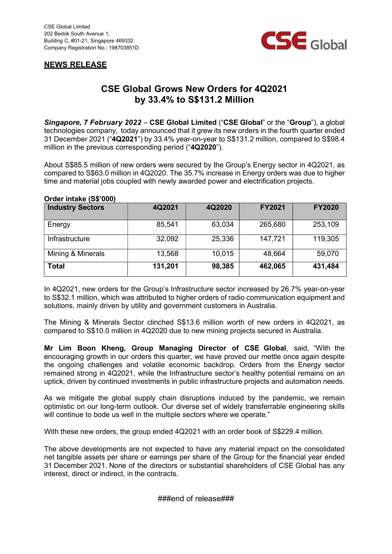



## CSE Global Grows New Orders for 4Q2021 by 33.4% to S\$131.2 Million

Singapore, 7 February 2022 – CSE Global Limited ("CSE Global" or the "Group"), a global technologies company, today announced that it grew its new orders in the fourth quarter ended 31 December 2021 ("4Q2021") by 33.4% year-on-year to S\$131.2 million, compared to S\$98.4 million in the previous corresponding period ("4Q2020").

About S\$85.5 million of new orders were secured by the Group's Energy sector in 4Q2021, as compared to S\$63.0 million in 4Q2020. The 35.7% increase in Energy orders was due to higher time and material jobs coupled with newly awarded power and electrification projects.

## Order intake (S\$'000)

| <b>Industry Sectors</b> | 4Q2021  | 4Q2020 | <b>FY2021</b> | <b>FY2020</b> |
|-------------------------|---------|--------|---------------|---------------|
| Energy                  | 85,541  | 63,034 | 265,680       | 253,109       |
| Infrastructure          | 32,092  | 25,336 | 147,721       | 119,305       |
| Mining & Minerals       | 13,568  | 10,015 | 48,664        | 59,070        |
| <b>Total</b>            | 131,201 | 98,385 | 462,065       | 431,484       |

In 4Q2021, new orders for the Group's Infrastructure sector increased by 26.7% year-on-year to S\$32.1 million, which was attributed to higher orders of radio communication equipment and solutions, mainly driven by utility and government customers in Australia.

The Mining & Minerals Sector clinched S\$13.6 million worth of new orders in 4Q2021, as compared to S\$10.0 million in 4Q2020 due to new mining projects secured in Australia.

Mr Lim Boon Kheng, Group Managing Director of CSE Global, said, "With the encouraging growth in our orders this quarter, we have proved our mettle once again despite the ongoing challenges and volatile economic backdrop. Orders from the Energy sector remained strong in 4Q2021, while the Infrastructure sector's healthy potential remains on an uptick, driven by continued investments in public infrastructure projects and automation needs.

As we mitigate the global supply chain disruptions induced by the pandemic, we remain optimistic on our long-term outlook. Our diverse set of widely transferrable engineering skills will continue to bode us well in the multiple sectors where we operate."

With these new orders, the group ended 4Q2021 with an order book of S\$229.4 million.

The above developments are not expected to have any material impact on the consolidated net tangible assets per share or earnings per share of the Group for the financial year ended 31 December 2021. None of the directors or substantial shareholders of CSE Global has any interest, direct or indirect, in the contracts.